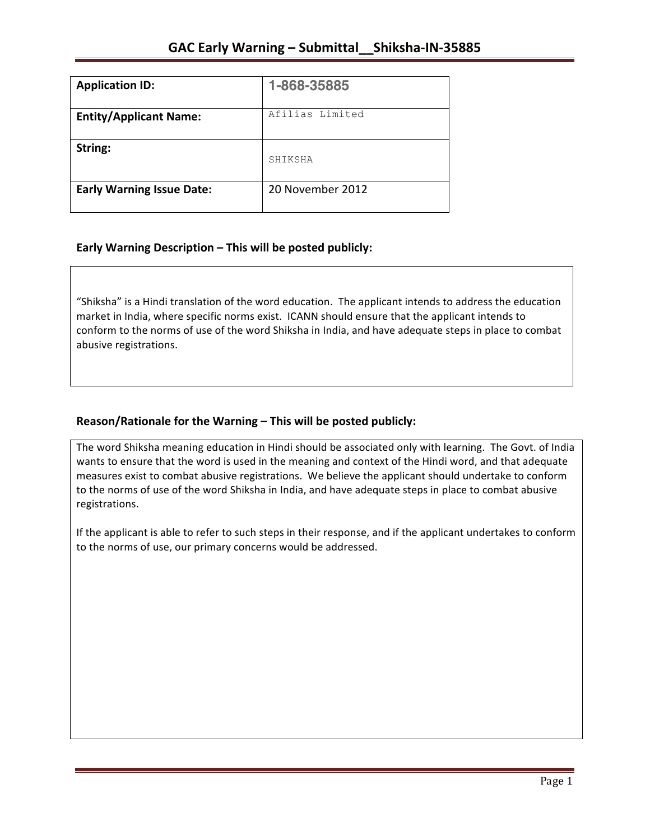| <b>Application ID:</b>           | 1-868-35885      |
|----------------------------------|------------------|
| <b>Entity/Applicant Name:</b>    | Afilias Limited  |
| String:                          | SHIKSHA          |
| <b>Early Warning Issue Date:</b> | 20 November 2012 |

## **Early Warning Description – This will be posted publicly:**

"Shiksha" is a Hindi translation of the word education. The applicant intends to address the education market in India, where specific norms exist. ICANN should ensure that the applicant intends to conform to the norms of use of the word Shiksha in India, and have adequate steps in place to combat abusive registrations.

### Reason/Rationale for the Warning - This will be posted publicly:

The word Shiksha meaning education in Hindi should be associated only with learning. The Govt. of India wants to ensure that the word is used in the meaning and context of the Hindi word, and that adequate measures exist to combat abusive registrations. We believe the applicant should undertake to conform to the norms of use of the word Shiksha in India, and have adequate steps in place to combat abusive registrations.

If the applicant is able to refer to such steps in their response, and if the applicant undertakes to conform to the norms of use, our primary concerns would be addressed.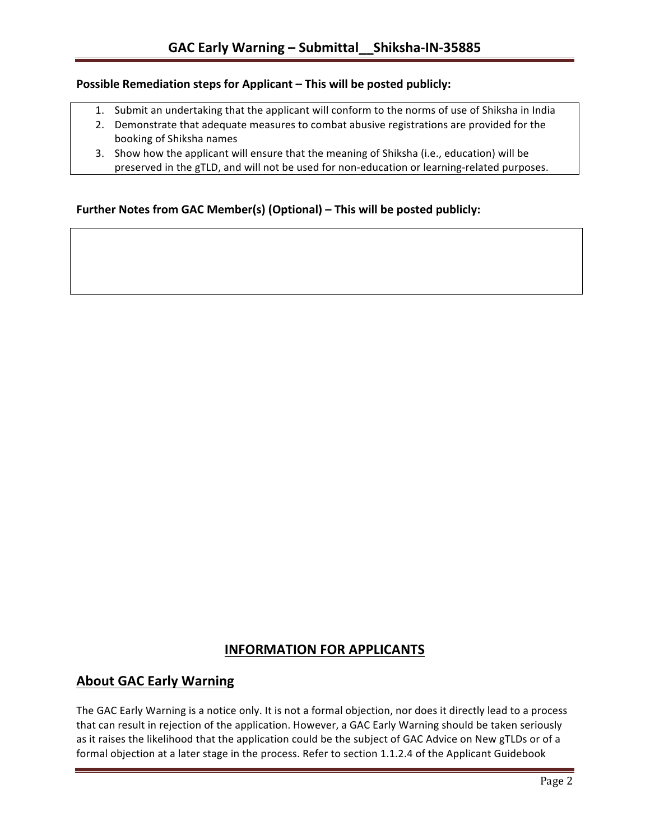#### **Possible Remediation steps for Applicant – This will be posted publicly:**

- 1. Submit an undertaking that the applicant will conform to the norms of use of Shiksha in India
- 2. Demonstrate that adequate measures to combat abusive registrations are provided for the booking of Shiksha names
- 3. Show how the applicant will ensure that the meaning of Shiksha (i.e., education) will be preserved in the gTLD, and will not be used for non-education or learning-related purposes.

### **Further Notes from GAC Member(s) (Optional) – This will be posted publicly:**

# **INFORMATION FOR APPLICANTS**

## **About GAC Early Warning**

The GAC Early Warning is a notice only. It is not a formal objection, nor does it directly lead to a process that can result in rejection of the application. However, a GAC Early Warning should be taken seriously as it raises the likelihood that the application could be the subject of GAC Advice on New gTLDs or of a formal objection at a later stage in the process. Refer to section 1.1.2.4 of the Applicant Guidebook